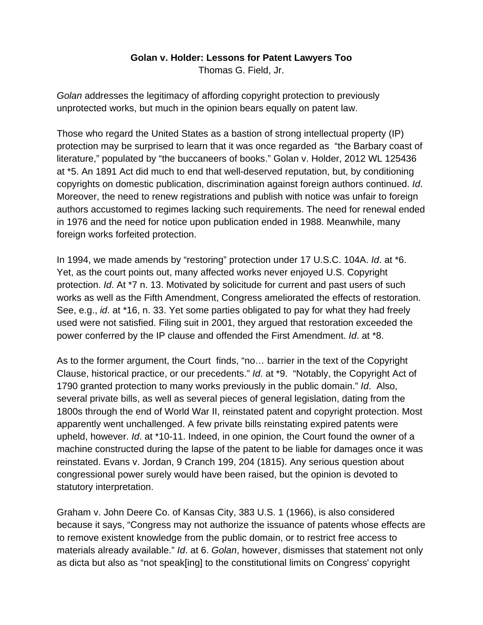## **Golan v. Holder: Lessons for Patent Lawyers Too**

Thomas G. Field, Jr.

*Golan* addresses the legitimacy of affording copyright protection to previously unprotected works, but much in the opinion bears equally on patent law.

Those who regard the United States as a bastion of strong intellectual property (IP) protection may be surprised to learn that it was once regarded as "the Barbary coast of literature," populated by "the buccaneers of books." Golan v. Holder, 2012 WL 125436 at \*5. An 1891 Act did much to end that well-deserved reputation, but, by conditioning copyrights on domestic publication, discrimination against foreign authors continued. *Id*. Moreover, the need to renew registrations and publish with notice was unfair to foreign authors accustomed to regimes lacking such requirements. The need for renewal ended in 1976 and the need for notice upon publication ended in 1988. Meanwhile, many foreign works forfeited protection.

In 1994, we made amends by "restoring" protection under 17 U.S.C. 104A. *Id*. at \*6. Yet, as the court points out, many affected works never enjoyed U.S. Copyright protection. *Id*. At \*7 n. 13. Motivated by solicitude for current and past users of such works as well as the Fifth Amendment, Congress ameliorated the effects of restoration. See, e.g., *id*. at \*16, n. 33. Yet some parties obligated to pay for what they had freely used were not satisfied. Filing suit in 2001, they argued that restoration exceeded the power conferred by the IP clause and offended the First Amendment. *Id*. at \*8.

As to the former argument, the Court finds, "no… barrier in the text of the Copyright Clause, historical practice, or our precedents." *Id*. at \*9. "Notably, the Copyright Act of 1790 granted protection to many works previously in the public domain." *Id*. Also, several private bills, as well as several pieces of general legislation, dating from the 1800s through the end of World War II, reinstated patent and copyright protection. Most apparently went unchallenged. A few private bills reinstating expired patents were upheld, however. *Id*. at \*10-11. Indeed, in one opinion, the Court found the owner of a machine constructed during the lapse of the patent to be liable for damages once it was reinstated. Evans v. Jordan, 9 Cranch 199, 204 (1815). Any serious question about congressional power surely would have been raised, but the opinion is devoted to statutory interpretation.

Graham v. John Deere Co. of Kansas City, 383 U.S. 1 (1966), is also considered because it says, "Congress may not authorize the issuance of patents whose effects are to remove existent knowledge from the public domain, or to restrict free access to materials already available." *Id*. at 6. *Golan*, however, dismisses that statement not only as dicta but also as "not speak[ing] to the constitutional limits on Congress' copyright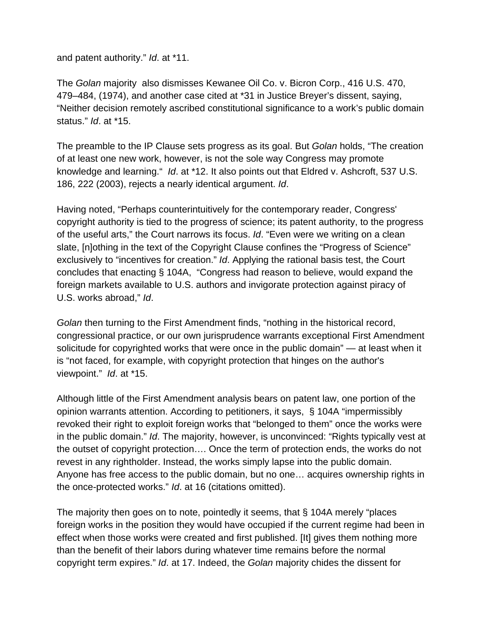and patent authority." *Id*. at \*11.

The *Golan* majority also dismisses Kewanee Oil Co. v. Bicron Corp., 416 U.S. 470, 479–484, (1974), and another case cited at \*31 in Justice Breyer's dissent, saying, "Neither decision remotely ascribed constitutional significance to a work's public domain status." *Id*. at \*15.

The preamble to the IP Clause sets progress as its goal. But *Golan* holds, "The creation of at least one new work, however, is not the sole way Congress may promote knowledge and learning." *Id*. at \*12. It also points out that Eldred v. Ashcroft, 537 U.S. 186, 222 (2003), rejects a nearly identical argument. *Id*.

Having noted, "Perhaps counterintuitively for the contemporary reader, Congress' copyright authority is tied to the progress of science; its patent authority, to the progress of the useful arts," the Court narrows its focus. *Id*. "Even were we writing on a clean slate, [n]othing in the text of the Copyright Clause confines the "Progress of Science" exclusively to "incentives for creation." *Id*. Applying the rational basis test, the Court concludes that enacting § 104A, "Congress had reason to believe, would expand the foreign markets available to U.S. authors and invigorate protection against piracy of U.S. works abroad," *Id*.

*Golan* then turning to the First Amendment finds, "nothing in the historical record, congressional practice, or our own jurisprudence warrants exceptional First Amendment solicitude for copyrighted works that were once in the public domain" — at least when it is "not faced, for example, with copyright protection that hinges on the author's viewpoint." *Id*. at \*15.

Although little of the First Amendment analysis bears on patent law, one portion of the opinion warrants attention. According to petitioners, it says, § 104A "impermissibly revoked their right to exploit foreign works that "belonged to them" once the works were in the public domain." *Id*. The majority, however, is unconvinced: "Rights typically vest at the outset of copyright protection…. Once the term of protection ends, the works do not revest in any rightholder. Instead, the works simply lapse into the public domain. Anyone has free access to the public domain, but no one… acquires ownership rights in the once-protected works." *Id*. at 16 (citations omitted).

The majority then goes on to note, pointedly it seems, that § 104A merely "places foreign works in the position they would have occupied if the current regime had been in effect when those works were created and first published. [It] gives them nothing more than the benefit of their labors during whatever time remains before the normal copyright term expires." *Id*. at 17. Indeed, the *Golan* majority chides the dissent for